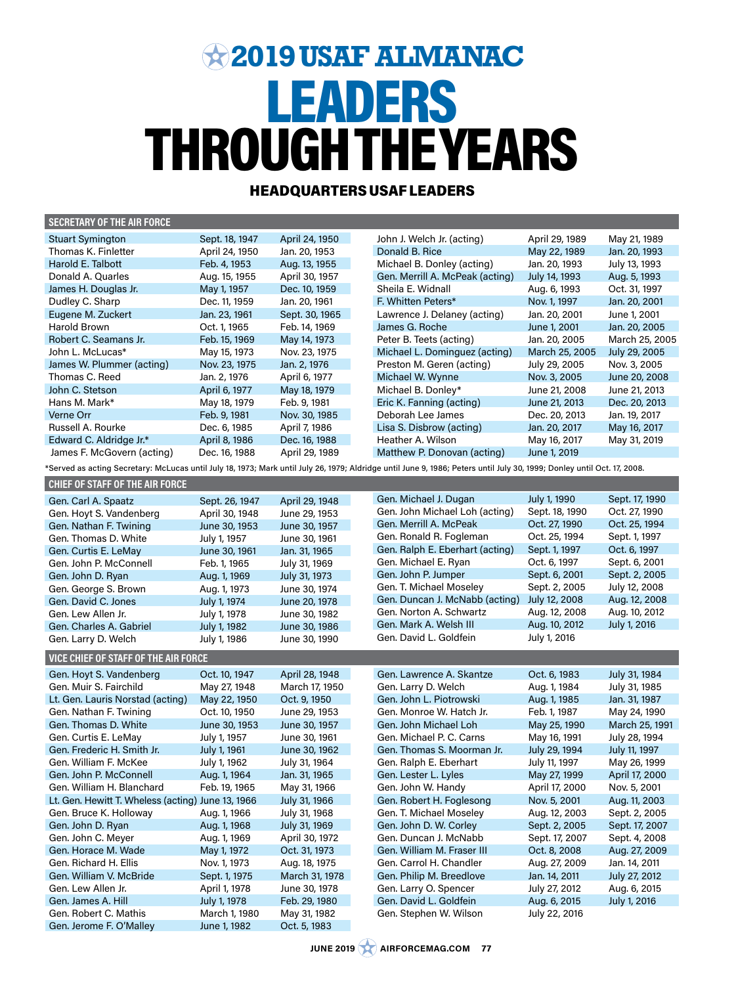# LEADERS THROUGH THE YEARS **2019 USAF ALMANAC**

# HEADQUARTERS USAF LEADERS

| <b>SECRETARY OF THE AIR FORCE</b>                 |                |                |                                                                                                                                                                         |                |                |
|---------------------------------------------------|----------------|----------------|-------------------------------------------------------------------------------------------------------------------------------------------------------------------------|----------------|----------------|
| <b>Stuart Symington</b>                           | Sept. 18, 1947 | April 24, 1950 | John J. Welch Jr. (acting)                                                                                                                                              | April 29, 1989 | May 21, 1989   |
| Thomas K. Finletter                               | April 24, 1950 | Jan. 20, 1953  | Donald B. Rice                                                                                                                                                          | May 22, 1989   | Jan. 20, 1993  |
| Harold E. Talbott                                 | Feb. 4, 1953   | Aug. 13, 1955  | Michael B. Donley (acting)                                                                                                                                              | Jan. 20, 1993  | July 13, 1993  |
| Donald A. Quarles                                 | Aug. 15, 1955  | April 30, 1957 | Gen. Merrill A. McPeak (acting)                                                                                                                                         | July 14, 1993  | Aug. 5, 1993   |
| James H. Douglas Jr.                              | May 1, 1957    | Dec. 10, 1959  | Sheila E. Widnall                                                                                                                                                       | Aug. 6, 1993   | Oct. 31, 1997  |
| Dudley C. Sharp                                   | Dec. 11, 1959  | Jan. 20, 1961  | F. Whitten Peters*                                                                                                                                                      | Nov. 1, 1997   | Jan. 20, 2001  |
| Eugene M. Zuckert                                 | Jan. 23, 1961  | Sept. 30, 1965 | Lawrence J. Delaney (acting)                                                                                                                                            | Jan. 20, 2001  | June 1, 2001   |
| Harold Brown                                      | Oct. 1, 1965   | Feb. 14, 1969  | James G. Roche                                                                                                                                                          | June 1, 2001   | Jan. 20, 2005  |
| Robert C. Seamans Jr.                             | Feb. 15, 1969  | May 14, 1973   | Peter B. Teets (acting)                                                                                                                                                 | Jan. 20, 2005  | March 25, 2005 |
| John L. McLucas*                                  | May 15, 1973   | Nov. 23, 1975  | Michael L. Dominguez (acting)                                                                                                                                           | March 25, 2005 | July 29, 2005  |
| James W. Plummer (acting)                         | Nov. 23, 1975  | Jan. 2, 1976   | Preston M. Geren (acting)                                                                                                                                               | July 29, 2005  | Nov. 3, 2005   |
| Thomas C. Reed                                    | Jan. 2, 1976   | April 6, 1977  | Michael W. Wynne                                                                                                                                                        | Nov. 3, 2005   | June 20, 2008  |
| John C. Stetson                                   | April 6, 1977  | May 18, 1979   | Michael B. Donley*                                                                                                                                                      | June 21, 2008  | June 21, 2013  |
| Hans M. Mark*                                     | May 18, 1979   | Feb. 9, 1981   | Eric K. Fanning (acting)                                                                                                                                                | June 21, 2013  | Dec. 20, 2013  |
| Verne Orr                                         | Feb. 9, 1981   | Nov. 30, 1985  | Deborah Lee James                                                                                                                                                       |                |                |
| Russell A. Rourke                                 |                |                | Lisa S. Disbrow (acting)                                                                                                                                                | Dec. 20, 2013  | Jan. 19, 2017  |
|                                                   | Dec. 6, 1985   | April 7, 1986  |                                                                                                                                                                         | Jan. 20, 2017  | May 16, 2017   |
| Edward C. Aldridge Jr.*                           | April 8, 1986  | Dec. 16, 1988  | Heather A. Wilson                                                                                                                                                       | May 16, 2017   | May 31, 2019   |
| James F. McGovern (acting)                        | Dec. 16, 1988  | April 29, 1989 | Matthew P. Donovan (acting)                                                                                                                                             | June 1, 2019   |                |
|                                                   |                |                | Served as acting Secretary: McLucas until July 18, 1973; Mark until July 26, 1979; Aldridge until June 9, 1986; Peters until July 30, 1999; Donley until Oct. 17, 2008. |                |                |
| <b>CHIEF OF STAFF OF THE AIR FORCE</b>            |                |                |                                                                                                                                                                         |                |                |
| Gen. Carl A. Spaatz                               | Sept. 26, 1947 | April 29, 1948 | Gen. Michael J. Dugan                                                                                                                                                   | July 1, 1990   | Sept. 17, 1990 |
| Gen. Hoyt S. Vandenberg                           | April 30, 1948 | June 29, 1953  | Gen. John Michael Loh (acting)                                                                                                                                          | Sept. 18, 1990 | Oct. 27, 1990  |
| Gen. Nathan F. Twining                            | June 30, 1953  | June 30, 1957  | Gen, Merrill A, McPeak                                                                                                                                                  | Oct. 27, 1990  | Oct. 25, 1994  |
| Gen. Thomas D. White                              | July 1, 1957   | June 30, 1961  | Gen. Ronald R. Fogleman                                                                                                                                                 | Oct. 25, 1994  | Sept. 1, 1997  |
| Gen. Curtis E. LeMay                              | June 30, 1961  | Jan. 31, 1965  | Gen. Ralph E. Eberhart (acting)                                                                                                                                         | Sept. 1, 1997  | Oct. 6, 1997   |
| Gen. John P. McConnell                            | Feb. 1, 1965   | July 31, 1969  | Gen. Michael E. Ryan                                                                                                                                                    | Oct. 6, 1997   | Sept. 6, 2001  |
| Gen. John D. Ryan                                 | Aug. 1, 1969   | July 31, 1973  | Gen. John P. Jumper                                                                                                                                                     | Sept. 6, 2001  | Sept. 2, 2005  |
| Gen. George S. Brown                              | Aug. 1, 1973   | June 30, 1974  | Gen. T. Michael Moseley                                                                                                                                                 | Sept. 2, 2005  | July 12, 2008  |
| Gen. David C. Jones                               | July 1, 1974   | June 20, 1978  | Gen. Duncan J. McNabb (acting)                                                                                                                                          | July 12, 2008  | Aug. 12, 2008  |
| Gen. Lew Allen Jr.                                | July 1, 1978   | June 30, 1982  | Gen. Norton A. Schwartz                                                                                                                                                 | Aug. 12, 2008  | Aug. 10, 2012  |
| Gen. Charles A. Gabriel                           | July 1, 1982   | June 30, 1986  | Gen. Mark A. Welsh III                                                                                                                                                  | Aug. 10, 2012  | July 1, 2016   |
| Gen. Larry D. Welch                               | July 1, 1986   | June 30, 1990  | Gen. David L. Goldfein                                                                                                                                                  | July 1, 2016   |                |
|                                                   |                |                |                                                                                                                                                                         |                |                |
| VICE CHIEF OF STAFF OF THE AIR FORCE              |                |                |                                                                                                                                                                         |                |                |
| Gen. Hoyt S. Vandenberg                           | Oct. 10, 1947  | April 28, 1948 | Gen. Lawrence A. Skantze                                                                                                                                                | Oct. 6, 1983   | July 31, 1984  |
| Gen. Muir S. Fairchild                            | May 27, 1948   | March 17, 1950 | Gen. Larry D. Welch                                                                                                                                                     | Aug. 1, 1984   | July 31, 1985  |
| Lt. Gen. Lauris Norstad (acting)                  | May 22, 1950   | Oct. 9, 1950   | Gen. John L. Piotrowski                                                                                                                                                 | Aug. 1, 1985   | Jan. 31, 1987  |
| Gen. Nathan F. Twining                            | Oct. 10, 1950  | June 29, 1953  | Gen. Monroe W. Hatch Jr.                                                                                                                                                | Feb. 1, 1987   | May 24, 1990   |
| Gen. Thomas D. White                              | June 30, 1953  | June 30, 1957  | Gen. John Michael Loh                                                                                                                                                   | May 25, 1990   | March 25, 1991 |
| Gen. Curtis E. LeMay                              | July 1, 1957   | June 30, 1961  | Gen. Michael P. C. Carns                                                                                                                                                | May 16, 1991   | July 28, 1994  |
| Gen. Frederic H. Smith Jr.                        | July 1, 1961   | June 30, 1962  | Gen. Thomas S. Moorman Jr.                                                                                                                                              | July 29, 1994  | July 11, 1997  |
| Gen. William F. McKee                             | July 1, 1962   | July 31, 1964  | Gen. Ralph E. Eberhart                                                                                                                                                  | July 11, 1997  | May 26, 1999   |
| Gen. John P. McConnell                            | Aug. 1, 1964   | Jan. 31, 1965  | Gen. Lester L. Lyles                                                                                                                                                    | May 27, 1999   | April 17, 2000 |
| Gen. William H. Blanchard                         | Feb. 19, 1965  | May 31, 1966   | Gen. John W. Handy                                                                                                                                                      | April 17, 2000 | Nov. 5, 2001   |
| Lt. Gen. Hewitt T. Wheless (acting) June 13, 1966 |                | July 31, 1966  | Gen. Robert H. Foglesong                                                                                                                                                | Nov. 5, 2001   | Aug. 11, 2003  |
| Gen. Bruce K. Holloway                            | Aug. 1, 1966   | July 31, 1968  | Gen. T. Michael Moseley                                                                                                                                                 | Aug. 12, 2003  | Sept. 2, 2005  |
| Gen. John D. Ryan                                 | Aug. 1, 1968   | July 31, 1969  | Gen. John D. W. Corley                                                                                                                                                  | Sept. 2, 2005  | Sept. 17, 2007 |
| Gen. John C. Meyer                                | Aug. 1, 1969   | April 30, 1972 | Gen. Duncan J. McNabb                                                                                                                                                   | Sept. 17, 2007 | Sept. 4, 2008  |
| Gen. Horace M. Wade                               | May 1, 1972    | Oct. 31, 1973  | Gen. William M. Fraser III                                                                                                                                              | Oct. 8, 2008   | Aug. 27, 2009  |
| Gen. Richard H. Ellis                             | Nov. 1, 1973   | Aug. 18, 1975  | Gen. Carrol H. Chandler                                                                                                                                                 | Aug. 27, 2009  | Jan. 14, 2011  |
| Gen. William V. McBride                           | Sept. 1, 1975  | March 31, 1978 | Gen. Philip M. Breedlove                                                                                                                                                | Jan. 14, 2011  | July 27, 2012  |
| Gen. Lew Allen Jr.                                | April 1, 1978  | June 30, 1978  | Gen. Larry O. Spencer                                                                                                                                                   | July 27, 2012  | Aug. 6, 2015   |
| Gen. James A. Hill                                | July 1, 1978   | Feb. 29, 1980  | Gen. David L. Goldfein                                                                                                                                                  | Aug. 6, 2015   | July 1, 2016   |
| Gen. Robert C. Mathis                             | March 1, 1980  | May 31, 1982   | Gen. Stephen W. Wilson                                                                                                                                                  | July 22, 2016  |                |
| Gen. Jerome F. O'Malley                           | June 1, 1982   | Oct. 5, 1983   |                                                                                                                                                                         |                |                |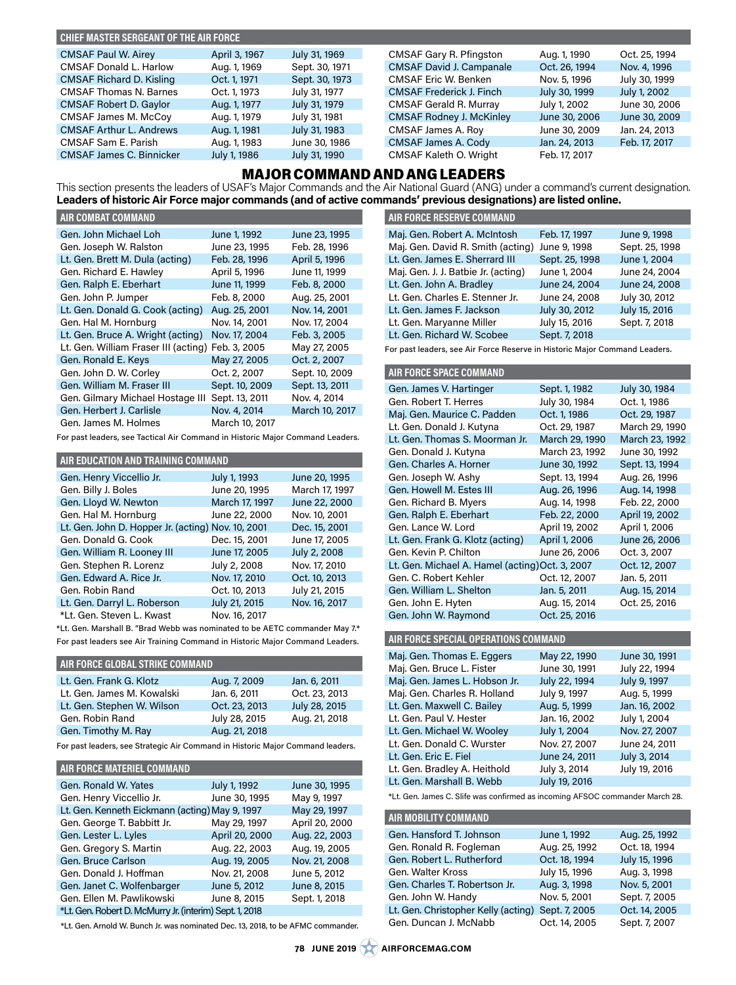## **CHIEF MASTER SERGEANT OF THE AIR FORCE**

| <b>CMSAF Paul W. Airey</b>      | April 3, 1967 | July 31, 1969  | CMSAF Gary R. Pfingston         | Aug. 1, 1990  | Oct. 25, 1994 |
|---------------------------------|---------------|----------------|---------------------------------|---------------|---------------|
| <b>CMSAF Donald L. Harlow</b>   | Aug. 1, 1969  | Sept. 30, 1971 | <b>CMSAF David J. Campanale</b> | Oct. 26, 1994 | Nov. 4, 1996  |
| <b>CMSAF Richard D. Kisling</b> | Oct. 1, 1971  | Sept. 30, 1973 | CMSAF Eric W. Benken            | Nov. 5, 1996  | July 30, 1999 |
| <b>CMSAF Thomas N. Barnes</b>   | Oct. 1, 1973  | July 31, 1977  | <b>CMSAF Frederick J. Finch</b> | July 30, 1999 | July 1, 2002  |
| <b>CMSAF Robert D. Gaylor</b>   | Aug. 1, 1977  | July 31, 1979  | <b>CMSAF Gerald R. Murray</b>   | July 1, 2002  | June 30, 2006 |
| CMSAF James M. McCoy            | Aug. 1, 1979  | July 31, 1981  | <b>CMSAF Rodney J. McKinley</b> | June 30, 2006 | June 30, 2009 |
| <b>CMSAF Arthur L. Andrews</b>  | Aug. 1, 1981  | July 31, 1983  | CMSAF James A. Roy              | June 30, 2009 | Jan. 24, 2013 |
| CMSAF Sam E. Parish             | Aug. 1, 1983  | June 30, 1986  | CMSAF James A. Cody             | Jan. 24, 2013 | Feb. 17, 2017 |
| <b>CMSAF James C. Binnicker</b> | July 1, 1986  | July 31, 1990  | CMSAF Kaleth O. Wright          | Feb. 17, 2017 |               |
|                                 |               |                |                                 |               |               |

## MAJOR COMMAND AND ANG LEADERS

This section presents the leaders of USAF's Major Commands and the Air National Guard (ANG) under a command's current designation. **Leaders of historic Air Force major commands (and of active commands' previous designations) are listed online.**

| <b>AIR COMBAT COMMAND</b>                         |                |                |
|---------------------------------------------------|----------------|----------------|
| Gen. John Michael Loh                             | June 1, 1992   | June 23, 1995  |
| Gen. Joseph W. Ralston                            | June 23, 1995  | Feb. 28, 1996  |
| Lt. Gen. Brett M. Dula (acting)                   | Feb. 28, 1996  | April 5, 1996  |
| Gen. Richard E. Hawley                            | April 5, 1996  | June 11, 1999  |
| Gen. Ralph E. Eberhart                            | June 11, 1999  | Feb. 8, 2000   |
| Gen. John P. Jumper                               | Feb. 8, 2000   | Aug. 25, 2001  |
| Lt. Gen. Donald G. Cook (acting)                  | Aug. 25, 2001  | Nov. 14, 2001  |
| Gen. Hal M. Hornburg                              | Nov. 14, 2001  | Nov. 17, 2004  |
| Lt. Gen. Bruce A. Wright (acting)                 | Nov. 17, 2004  | Feb. 3, 2005   |
| Lt. Gen. William Fraser III (acting) Feb. 3, 2005 |                | May 27, 2005   |
| Gen. Ronald E. Keys                               | May 27, 2005   | Oct. 2, 2007   |
| Gen. John D. W. Corley                            | Oct. 2, 2007   | Sept. 10, 2009 |
| Gen, William M. Fraser III                        | Sept. 10, 2009 | Sept. 13, 2011 |
| Gen. Gilmary Michael Hostage III                  | Sept. 13, 2011 | Nov. 4, 2014   |
| Gen. Herbert J. Carlisle                          | Nov. 4, 2014   | March 10, 2017 |
| Gen. James M. Holmes                              | March 10, 2017 |                |

For past leaders, see Tactical Air Command in Historic Major Command Leaders.

| AIR EDUCATION AND TRAINING COMMAND                 |                |                |
|----------------------------------------------------|----------------|----------------|
| Gen. Henry Viccellio Jr.                           | July 1, 1993   | June 20, 1995  |
| Gen. Billy J. Boles                                | June 20, 1995  | March 17, 1997 |
| Gen. Lloyd W. Newton                               | March 17, 1997 | June 22, 2000  |
| Gen. Hal M. Hornburg                               | June 22, 2000  | Nov. 10, 2001  |
| Lt. Gen. John D. Hopper Jr. (acting) Nov. 10, 2001 |                | Dec. 15, 2001  |
| Gen, Donald G. Cook                                | Dec. 15, 2001  | June 17, 2005  |
| Gen. William R. Looney III                         | June 17, 2005  | July 2, 2008   |
| Gen. Stephen R. Lorenz                             | July 2, 2008   | Nov. 17, 2010  |
| Gen. Edward A. Rice Jr.                            | Nov. 17, 2010  | Oct. 10, 2013  |
| Gen. Robin Rand                                    | Oct. 10, 2013  | July 21, 2015  |
| Lt. Gen. Darryl L. Roberson                        | July 21, 2015  | Nov. 16, 2017  |
| *Lt. Gen. Steven L. Kwast                          | Nov. 16, 2017  |                |

\*Lt. Gen. Marshall B. "Brad Webb was nominated to be AETC commander May 7.\* For past leaders see Air Training Command in Historic Major Command Leaders.

## **AIR FORCE GLOBAL STRIKE COMMAND**

| Lt. Gen. Frank G. Klotz    | Aug. 7, 2009  | Jan. 6, 2011  |
|----------------------------|---------------|---------------|
| Lt. Gen. James M. Kowalski | Jan. 6, 2011  | Oct. 23, 2013 |
| Lt. Gen. Stephen W. Wilson | Oct. 23, 2013 | July 28, 2015 |
| Gen. Robin Rand            | July 28, 2015 | Aug. 21, 2018 |
| Gen. Timothy M. Ray        | Aug. 21, 2018 |               |
|                            |               |               |

For past leaders, see Strategic Air Command in Historic Major Command leaders.

## **AIR FORCE MATERIEL COMMAND**

| Gen, Ronald W. Yates                                    | July 1, 1992   | June 30, 1995  |
|---------------------------------------------------------|----------------|----------------|
| Gen. Henry Viccellio Jr.                                | June 30, 1995  | May 9, 1997    |
| Lt. Gen. Kenneth Eickmann (acting) May 9, 1997          |                | May 29, 1997   |
| Gen. George T. Babbitt Jr.                              | May 29, 1997   | April 20, 2000 |
| Gen. Lester L. Lyles                                    | April 20, 2000 | Aug. 22, 2003  |
| Gen. Gregory S. Martin                                  | Aug. 22, 2003  | Aug. 19, 2005  |
| Gen, Bruce Carlson                                      | Aug. 19, 2005  | Nov. 21, 2008  |
| Gen, Donald J. Hoffman                                  | Nov. 21, 2008  | June 5, 2012   |
| Gen. Janet C. Wolfenbarger                              | June 5, 2012   | June 8, 2015   |
| Gen. Ellen M. Pawlikowski                               | June 8, 2015   | Sept. 1, 2018  |
| *Lt. Gen. Robert D. McMurry Jr. (interim) Sept. 1, 2018 |                |                |

\*Lt. Gen. Arnold W. Bunch Jr. was nominated Dec. 13, 2018, to be AFMC commander.

| AIR FORCE RESERVE COMMAND                      |                |               |
|------------------------------------------------|----------------|---------------|
| Maj. Gen. Robert A. McIntosh                   | Feb. 17, 1997  | June 9, 1998  |
| Maj. Gen. David R. Smith (acting) June 9, 1998 |                | Sept. 25, 199 |
| Lt. Gen. James E. Sherrard III                 | Sept. 25, 1998 | June 1, 2004  |

| Lt. Gen. James E. Sherrard III      | Sept. 25, 1998 | June 1, 2004  |
|-------------------------------------|----------------|---------------|
| Maj. Gen. J. J. Batbie Jr. (acting) | June 1, 2004   | June 24, 2004 |
| Lt. Gen. John A. Bradley            | June 24, 2004  | June 24, 2008 |
| Lt. Gen. Charles E. Stenner Jr.     | June 24, 2008  | July 30, 2012 |
| Lt. Gen. James F. Jackson           | July 30, 2012  | July 15, 2016 |
| Lt. Gen. Maryanne Miller            | July 15, 2016  | Sept. 7, 2018 |
| Lt. Gen. Richard W. Scobee          | Sept. 7, 2018  |               |

Sept. 25, 1998

For past leaders, see Air Force Reserve in Historic Major Command Leaders.

#### **AIR FORCE SPACE COMMAND**

| Gen. James V. Hartinger                         | Sept. 1, 1982  | July 30, 1984  |
|-------------------------------------------------|----------------|----------------|
| Gen. Robert T. Herres                           | July 30, 1984  | Oct. 1, 1986   |
| Maj. Gen. Maurice C. Padden                     | Oct. 1, 1986   | Oct. 29, 1987  |
| Lt. Gen. Donald J. Kutyna                       | Oct. 29, 1987  | March 29, 1990 |
| Lt. Gen. Thomas S. Moorman Jr.                  | March 29, 1990 | March 23, 1992 |
| Gen. Donald J. Kutyna                           | March 23, 1992 | June 30, 1992  |
| Gen. Charles A. Horner                          | June 30, 1992  | Sept. 13, 1994 |
| Gen. Joseph W. Ashy                             | Sept. 13, 1994 | Aug. 26, 1996  |
| Gen. Howell M. Estes III                        | Aug. 26, 1996  | Aug. 14, 1998  |
| Gen. Richard B. Myers                           | Aug. 14, 1998  | Feb. 22, 2000  |
| Gen. Ralph E. Eberhart                          | Feb. 22, 2000  | April 19, 2002 |
| Gen. Lance W. Lord                              | April 19, 2002 | April 1, 2006  |
| Lt. Gen. Frank G. Klotz (acting)                | April 1, 2006  | June 26, 2006  |
| Gen. Kevin P. Chilton                           | June 26, 2006  | Oct. 3, 2007   |
| Lt. Gen. Michael A. Hamel (acting) Oct. 3, 2007 |                | Oct. 12, 2007  |
| Gen. C. Robert Kehler                           | Oct. 12, 2007  | Jan. 5, 2011   |
| Gen. William L. Shelton                         | Jan. 5, 2011   | Aug. 15, 2014  |
| Gen. John E. Hyten                              | Aug. 15, 2014  | Oct. 25, 2016  |
| Gen. John W. Raymond                            | Oct. 25, 2016  |                |

#### **AIR FORCE SPECIAL OPERATIONS COMMAND**

| Maj. Gen. Thomas E. Eggers    | May 22, 1990  | June 30, 1991 |
|-------------------------------|---------------|---------------|
| Maj. Gen. Bruce L. Fister     | June 30, 1991 | July 22, 1994 |
| Maj. Gen. James L. Hobson Jr. | July 22, 1994 | July 9, 1997  |
| Maj. Gen. Charles R. Holland  | July 9, 1997  | Aug. 5, 1999  |
| Lt. Gen. Maxwell C. Bailey    | Aug. 5, 1999  | Jan. 16, 2002 |
| Lt. Gen. Paul V. Hester       | Jan. 16, 2002 | July 1, 2004  |
| Lt. Gen. Michael W. Wooley    | July 1, 2004  | Nov. 27, 2007 |
| Lt. Gen. Donald C. Wurster    | Nov. 27, 2007 | June 24, 2011 |
| Lt. Gen. Eric E. Fiel         | June 24, 2011 | July 3, 2014  |
| Lt. Gen. Bradley A. Heithold  | July 3, 2014  | July 19, 2016 |
| Lt. Gen. Marshall B. Webb     | July 19, 2016 |               |

\*Lt. Gen. James C. Slife was confirmed as incoming AFSOC commander March 28.

| <b>AIR MOBILITY COMMAND</b>         |               |               |
|-------------------------------------|---------------|---------------|
| Gen. Hansford T. Johnson            | June 1, 1992  | Aug. 25, 1992 |
| Gen. Ronald R. Fogleman             | Aug. 25, 1992 | Oct. 18, 1994 |
| Gen. Robert L. Rutherford           | Oct. 18, 1994 | July 15, 1996 |
| Gen. Walter Kross                   | July 15, 1996 | Aug. 3, 1998  |
| Gen. Charles T. Robertson Jr.       | Aug. 3, 1998  | Nov. 5, 2001  |
| Gen. John W. Handy                  | Nov. 5, 2001  | Sept. 7, 2005 |
| Lt. Gen. Christopher Kelly (acting) | Sept. 7, 2005 | Oct. 14, 2005 |
| Gen, Duncan J. McNabb               | Oct. 14, 2005 | Sept. 7, 2007 |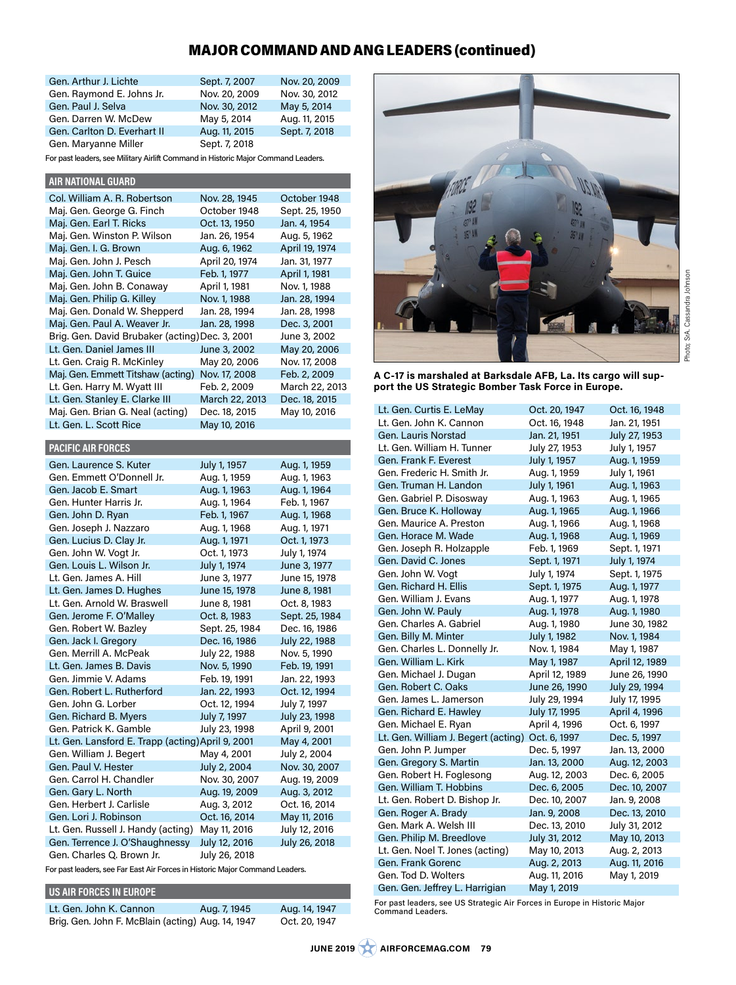## MAJOR COMMAND AND ANG LEADERS (continued)

| Gen. Arthur J. Lichte       | Sept. 7, 2007 | Nov. 20, 2009 |
|-----------------------------|---------------|---------------|
| Gen. Raymond E. Johns Jr.   | Nov. 20, 2009 | Nov. 30, 2012 |
| Gen, Paul J. Selva          | Nov. 30, 2012 | May 5, 2014   |
| Gen, Darren W. McDew        | May 5, 2014   | Aug. 11, 2015 |
| Gen, Carlton D. Everhart II | Aug. 11, 2015 | Sept. 7, 2018 |
| Gen. Maryanne Miller        | Sept. 7, 2018 |               |

For past leaders, see Military Airlift Command in Historic Major Command Leaders.

| <b>AIR NATIONAL GUARD</b>                       |                |                |
|-------------------------------------------------|----------------|----------------|
| Col. William A. R. Robertson                    | Nov. 28, 1945  | October 1948   |
| Maj. Gen. George G. Finch                       | October 1948   | Sept. 25, 1950 |
| Maj. Gen. Earl T. Ricks                         | Oct. 13, 1950  | Jan. 4, 1954   |
| Maj. Gen. Winston P. Wilson                     | Jan. 26, 1954  | Aug. 5, 1962   |
| Maj. Gen. I. G. Brown                           | Aug. 6, 1962   | April 19, 1974 |
| Maj. Gen. John J. Pesch                         | April 20, 1974 | Jan. 31, 1977  |
| Maj. Gen. John T. Guice                         | Feb. 1, 1977   | April 1, 1981  |
| Maj. Gen. John B. Conaway                       | April 1, 1981  | Nov. 1, 1988   |
| Maj. Gen. Philip G. Killey                      | Nov. 1, 1988   | Jan. 28, 1994  |
| Maj. Gen. Donald W. Shepperd                    | Jan. 28, 1994  | Jan. 28, 1998  |
| Maj. Gen. Paul A. Weaver Jr.                    | Jan. 28, 1998  | Dec. 3, 2001   |
| Brig. Gen. David Brubaker (acting) Dec. 3, 2001 |                | June 3, 2002   |
| Lt. Gen. Daniel James III                       | June 3, 2002   | May 20, 2006   |
| Lt. Gen. Craig R. McKinley                      | May 20, 2006   | Nov. 17, 2008  |
| Maj. Gen. Emmett Titshaw (acting)               | Nov. 17, 2008  | Feb. 2, 2009   |
| Lt. Gen. Harry M. Wyatt III                     | Feb. 2, 2009   | March 22, 2013 |
| Lt. Gen. Stanley E. Clarke III                  | March 22, 2013 | Dec. 18, 2015  |
| Maj. Gen. Brian G. Neal (acting)                | Dec. 18, 2015  | May 10, 2016   |
| Lt. Gen. L. Scott Rice                          | May 10, 2016   |                |
|                                                 |                |                |
| <b>PACIFIC AIR FORCES</b>                       |                |                |

| Gen. Laurence S. Kuter                            | July 1, 1957   | Aug. 1, 1959   |
|---------------------------------------------------|----------------|----------------|
| Gen. Emmett O'Donnell Jr.                         | Aug. 1, 1959   | Aug. 1, 1963   |
| Gen. Jacob E. Smart                               | Aug. 1, 1963   | Aug. 1, 1964   |
| Gen, Hunter Harris Jr.                            | Aug. 1, 1964   | Feb. 1, 1967   |
| Gen. John D. Ryan                                 | Feb. 1, 1967   | Aug. 1, 1968   |
| Gen. Joseph J. Nazzaro                            | Aug. 1, 1968   | Aug. 1, 1971   |
| Gen. Lucius D. Clay Jr.                           | Aug. 1, 1971   | Oct. 1, 1973   |
| Gen. John W. Vogt Jr.                             | Oct. 1, 1973   | July 1, 1974   |
| Gen. Louis L. Wilson Jr.                          | July 1, 1974   | June 3, 1977   |
| Lt. Gen. James A. Hill                            | June 3, 1977   | June 15, 1978  |
| Lt. Gen. James D. Hughes                          | June 15, 1978  | June 8, 1981   |
| Lt. Gen. Arnold W. Braswell                       | June 8, 1981   | Oct. 8, 1983   |
| Gen. Jerome F. O'Malley                           | Oct. 8, 1983   | Sept. 25, 1984 |
| Gen. Robert W. Bazley                             | Sept. 25, 1984 | Dec. 16, 1986  |
| Gen. Jack I. Gregory                              | Dec. 16, 1986  | July 22, 1988  |
| Gen. Merrill A. McPeak                            | July 22, 1988  | Nov. 5, 1990   |
| Lt. Gen. James B. Davis                           | Nov. 5, 1990   | Feb. 19, 1991  |
| Gen. Jimmie V. Adams                              | Feb. 19, 1991  | Jan. 22, 1993  |
| Gen. Robert L. Rutherford                         | Jan. 22, 1993  | Oct. 12, 1994  |
| Gen. John G. Lorber                               | Oct. 12, 1994  | July 7, 1997   |
| Gen. Richard B. Myers                             | July 7, 1997   | July 23, 1998  |
| Gen. Patrick K. Gamble                            | July 23, 1998  | April 9, 2001  |
| Lt. Gen. Lansford E. Trapp (acting) April 9, 2001 |                | May 4, 2001    |
| Gen. William J. Begert                            | May 4, 2001    | July 2, 2004   |
| Gen, Paul V. Hester                               | July 2, 2004   | Nov. 30, 2007  |
| Gen, Carrol H. Chandler                           | Nov. 30, 2007  | Aug. 19, 2009  |
| Gen. Gary L. North                                | Aug. 19, 2009  | Aug. 3, 2012   |
| Gen, Herbert J. Carlisle                          | Aug. 3, 2012   | Oct. 16, 2014  |
| Gen. Lori J. Robinson                             | Oct. 16, 2014  | May 11, 2016   |
| Lt. Gen. Russell J. Handy (acting)                | May 11, 2016   | July 12, 2016  |
| Gen. Terrence J. O'Shaughnessy                    | July 12, 2016  | July 26, 2018  |
| Gen. Charles Q. Brown Jr.                         | July 26, 2018  |                |

For past leaders, see Far East Air Forces in Historic Major Command Leaders.

### **US AIR FORCES IN EUROPE**

| Lt. Gen. John K. Cannon                           | Aug. 7, 1945 | Aug. 14, 1947 |
|---------------------------------------------------|--------------|---------------|
| Brig. Gen. John F. McBlain (acting) Aug. 14, 1947 |              | Oct. 20, 1947 |



**A C-17 is marshaled at Barksdale AFB, La. Its cargo will support the US Strategic Bomber Task Force in Europe.**

| Lt. Gen. Curtis E. LeMay            | Oct. 20, 1947  | Oct. 16, 1948  |
|-------------------------------------|----------------|----------------|
| Lt. Gen. John K. Cannon             | Oct. 16, 1948  | Jan. 21, 1951  |
| <b>Gen. Lauris Norstad</b>          | Jan. 21, 1951  | July 27, 1953  |
| Lt. Gen. William H. Tunner          | July 27, 1953  | July 1, 1957   |
| Gen. Frank F. Everest               | July 1, 1957   | Aug. 1, 1959   |
| Gen. Frederic H. Smith Jr.          | Aug. 1, 1959   | July 1, 1961   |
| Gen. Truman H. Landon               | July 1, 1961   | Aug. 1, 1963   |
| Gen. Gabriel P. Disosway            | Aug. 1, 1963   | Aug. 1, 1965   |
| Gen. Bruce K. Holloway              | Aug. 1, 1965   | Aug. 1, 1966   |
| Gen. Maurice A. Preston             | Aug. 1, 1966   | Aug. 1, 1968   |
| Gen. Horace M. Wade                 | Aug. 1, 1968   | Aug. 1, 1969   |
| Gen. Joseph R. Holzapple            | Feb. 1, 1969   | Sept. 1, 1971  |
| Gen, David C. Jones                 | Sept. 1, 1971  | July 1, 1974   |
| Gen. John W. Vogt                   | July 1, 1974   | Sept. 1, 1975  |
| Gen, Richard H. Ellis               | Sept. 1, 1975  | Aug. 1, 1977   |
| Gen. William J. Evans               | Aug. 1, 1977   | Aug. 1, 1978   |
| Gen. John W. Pauly                  | Aug. 1, 1978   | Aug. 1, 1980   |
| Gen, Charles A, Gabriel             | Aug. 1, 1980   | June 30, 1982  |
| Gen. Billy M. Minter                | July 1, 1982   | Nov. 1, 1984   |
| Gen. Charles L. Donnelly Jr.        | Nov. 1, 1984   | May 1, 1987    |
| Gen. William L. Kirk                | May 1, 1987    | April 12, 1989 |
| Gen. Michael J. Dugan               | April 12, 1989 | June 26, 1990  |
| Gen, Robert C, Oaks                 | June 26, 1990  | July 29, 1994  |
| Gen. James L. Jamerson              | July 29, 1994  | July 17, 1995  |
| Gen. Richard E. Hawley              | July 17, 1995  | April 4, 1996  |
| Gen. Michael E. Ryan                | April 4, 1996  | Oct. 6, 1997   |
| Lt. Gen. William J. Begert (acting) | Oct. 6, 1997   | Dec. 5, 1997   |
| Gen. John P. Jumper                 | Dec. 5, 1997   | Jan. 13, 2000  |
| Gen. Gregory S. Martin              | Jan. 13, 2000  | Aug. 12, 2003  |
| Gen. Robert H. Foglesong            | Aug. 12, 2003  | Dec. 6, 2005   |
| Gen. William T. Hobbins             | Dec. 6, 2005   | Dec. 10, 2007  |
| Lt. Gen. Robert D. Bishop Jr.       | Dec. 10, 2007  | Jan. 9, 2008   |
| Gen. Roger A. Brady                 | Jan. 9, 2008   | Dec. 13, 2010  |
| Gen. Mark A. Welsh III              | Dec. 13, 2010  | July 31, 2012  |
| Gen. Philip M. Breedlove            | July 31, 2012  | May 10, 2013   |
| Lt. Gen. Noel T. Jones (acting)     | May 10, 2013   | Aug. 2, 2013   |
| Gen. Frank Gorenc                   | Aug. 2, 2013   | Aug. 11, 2016  |
| Gen. Tod D. Wolters                 | Aug. 11, 2016  | May 1, 2019    |
| Gen. Gen. Jeffrey L. Harrigian      | May 1, 2019    |                |

For past leaders, see US Strategic Air Forces in Europe in Historic Major Command Leaders.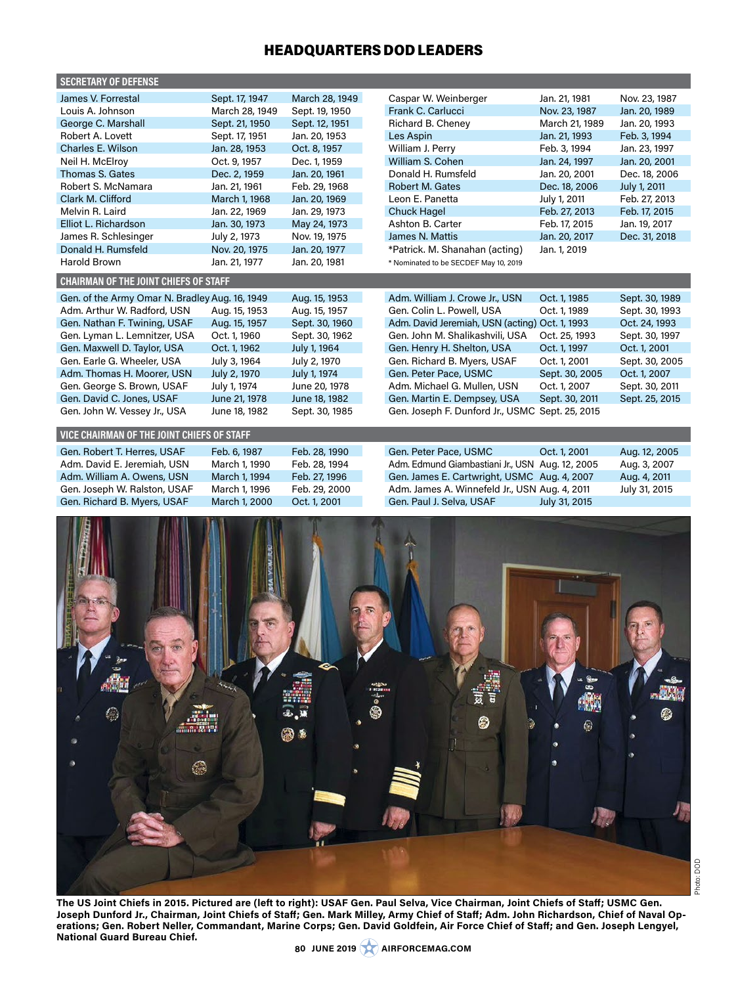## HEADQUARTERS DOD LEADERS

| <b>SECRETARY OF DEFENSE</b>                    |                |                |                                                 |                          |                |
|------------------------------------------------|----------------|----------------|-------------------------------------------------|--------------------------|----------------|
| James V. Forrestal                             | Sept. 17, 1947 | March 28, 1949 | Caspar W. Weinberger                            | Jan. 21, 1981            | Nov. 23, 1987  |
| Louis A. Johnson                               | March 28, 1949 | Sept. 19, 1950 | Frank C. Carlucci                               | Nov. 23, 1987            | Jan. 20, 1989  |
| George C. Marshall                             | Sept. 21, 1950 | Sept. 12, 1951 | Richard B. Cheney                               | March 21, 1989           | Jan. 20, 1993  |
| Robert A. Lovett                               | Sept. 17, 1951 | Jan. 20, 1953  | Les Aspin                                       | Jan. 21, 1993            | Feb. 3, 1994   |
| Charles E. Wilson                              | Jan. 28, 1953  | Oct. 8, 1957   | William J. Perry                                | Feb. 3, 1994             | Jan. 23, 1997  |
| Neil H. McElroy                                | Oct. 9, 1957   | Dec. 1, 1959   | William S. Cohen                                | Jan. 24, 1997            | Jan. 20, 2001  |
| Thomas S. Gates                                | Dec. 2, 1959   | Jan. 20, 1961  | Donald H. Rumsfeld                              | Jan. 20, 2001            | Dec. 18, 2006  |
| Robert S. McNamara                             | Jan. 21, 1961  | Feb. 29, 1968  | Robert M. Gates                                 | Dec. 18, 2006            | July 1, 2011   |
| Clark M. Clifford                              | March 1, 1968  | Jan. 20, 1969  | Leon E. Panetta                                 | July 1, 2011             | Feb. 27, 2013  |
| Melvin R. Laird                                | Jan. 22, 1969  | Jan. 29, 1973  | <b>Chuck Hagel</b>                              | Feb. 27, 2013            | Feb. 17, 2015  |
| Elliot L. Richardson                           | Jan. 30, 1973  | May 24, 1973   | Ashton B. Carter                                | Feb. 17, 2015            | Jan. 19, 2017  |
| James R. Schlesinger                           | July 2, 1973   | Nov. 19, 1975  | James N. Mattis                                 | Jan. 20, 2017            | Dec. 31, 2018  |
| Donald H. Rumsfeld                             | Nov. 20, 1975  | Jan. 20, 1977  | *Patrick. M. Shanahan (acting)                  | Jan. 1, 2019             |                |
| <b>Harold Brown</b>                            | Jan. 21, 1977  | Jan. 20, 1981  | * Nominated to be SECDEF May 10, 2019           |                          |                |
| <b>CHAIRMAN OF THE JOINT CHIEFS OF STAFF</b>   |                |                |                                                 |                          |                |
| Gen. of the Army Omar N. Bradley Aug. 16, 1949 |                | Aug. 15, 1953  | Adm. William J. Crowe Jr., USN                  | Oct. 1, 1985             | Sept. 30, 1989 |
| Adm. Arthur W. Radford, USN                    | Aug. 15, 1953  | Aug. 15, 1957  | Gen. Colin L. Powell, USA                       | Oct. 1, 1989             | Sept. 30, 1993 |
| Gen. Nathan F. Twining, USAF                   | Aug. 15, 1957  | Sept. 30, 1960 | Adm. David Jeremiah, USN (acting) Oct. 1, 1993  |                          | Oct. 24, 1993  |
| Gen. Lyman L. Lemnitzer, USA                   | Oct. 1, 1960   | Sept. 30, 1962 | Gen. John M. Shalikashvili, USA                 | Oct. 25, 1993            | Sept. 30, 1997 |
| Gen. Maxwell D. Taylor, USA                    | Oct. 1, 1962   | July 1, 1964   | Gen. Henry H. Shelton, USA                      | Oct. 1, 1997             | Oct. 1, 2001   |
| Gen. Earle G. Wheeler, USA                     | July 3, 1964   | July 2, 1970   | Gen. Richard B. Myers, USAF                     | Oct. 1, 2001             | Sept. 30, 2005 |
| Adm. Thomas H. Moorer, USN                     | July 2, 1970   | July 1, 1974   | Gen. Peter Pace, USMC                           | Sept. 30, 2005           | Oct. 1, 2007   |
| Gen. George S. Brown, USAF                     | July 1, 1974   | June 20, 1978  | Adm. Michael G. Mullen, USN                     | Oct. 1, 2007             | Sept. 30, 2011 |
| Gen. David C. Jones, USAF                      | June 21, 1978  | June 18, 1982  | Gen. Martin E. Dempsey, USA                     | Sept. 30, 2011           | Sept. 25, 2015 |
| Gen. John W. Vessey Jr., USA                   | June 18, 1982  | Sept. 30, 1985 | Gen. Joseph F. Dunford Jr., USMC Sept. 25, 2015 |                          |                |
|                                                |                |                |                                                 |                          |                |
| VICE CHAIRMAN OF THE JOINT CHIEFS OF STAFF     |                |                |                                                 |                          |                |
| Gen. Robert T. Herres, USAF                    | Feb. 6, 1987   | Feb. 28, 1990  | Gen. Peter Pace, USMC                           | Oct. 1, 2001             | Aug. 12, 2005  |
| Adm. David E. Jeremiah, USN                    | March 1, 1990  | Feb. 28, 1994  | Adm. Edmund Giambastiani Jr., USN Aug. 12, 2005 |                          | Aug. 3, 2007   |
| Adm. William A. Owens, USN                     | March 1, 1994  | Feb. 27, 1996  | Gen. James E. Cartwright, USMC Aug. 4, 2007     |                          | Aug. 4, 2011   |
| Gen. Joseph W. Ralston, USAF                   | March 1, 1996  | Feb. 29, 2000  | Adm. James A. Winnefeld Jr., USN Aug. 4, 2011   |                          | July 31, 2015  |
| Gen. Richard B. Myers, USAF                    | March 1, 2000  | Oct. 1, 2001   | Gen. Paul J. Selva, USAF                        | July 31, 2015            |                |
| 雕<br>۵<br>爆                                    |                | @ *            | 0                                               | j<br>$\circledcirc$<br>哪 | €              |
|                                                |                |                |                                                 |                          |                |

**The US Joint Chiefs in 2015. Pictured are (left to right): USAF Gen. Paul Selva, Vice Chairman, Joint Chiefs of Staff; USMC Gen. Joseph Dunford Jr., Chairman, Joint Chiefs of Staff; Gen. Mark Milley, Army Chief of Staff; Adm. John Richardson, Chief of Naval Operations; Gen. Robert Neller, Commandant, Marine Corps; Gen. David Goldfein, Air Force Chief of Staff; and Gen. Joseph Lengyel, National Guard Bureau Chief.**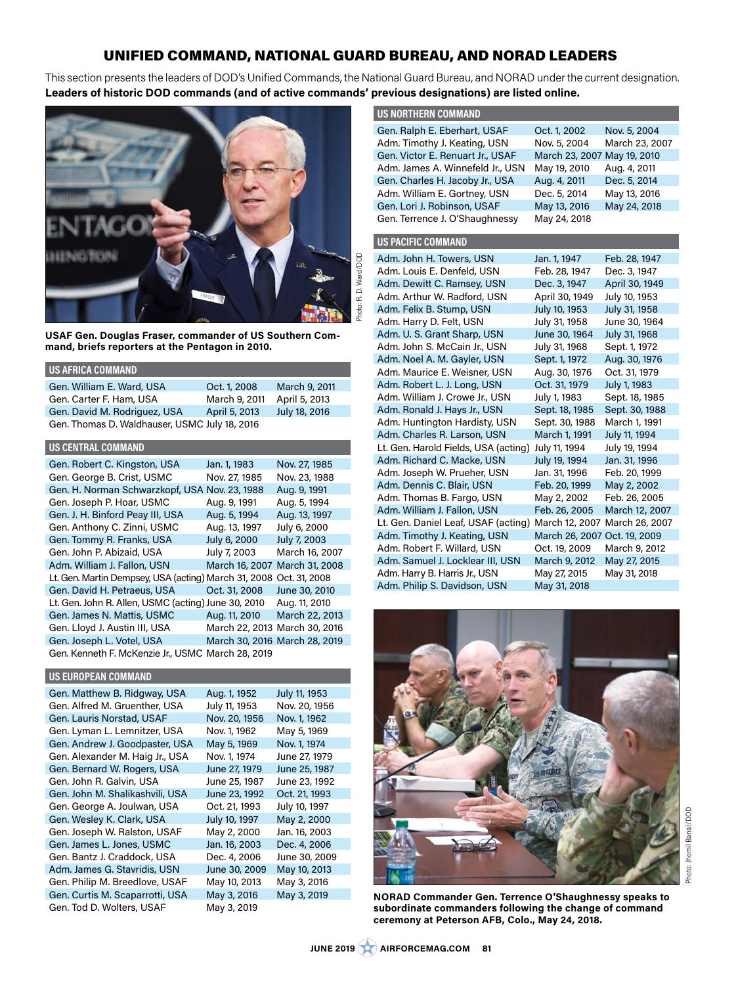# UNIFIED COMMAND, NATIONAL GUARD BUREAU, AND NORAD LEADERS

This section presents the leaders of DOD's Unified Commands, the National Guard Bureau, and NORAD under the current designation. **Leaders of historic DOD commands (and of active commands' previous designations) are listed online.**



**USAF Gen. Douglas Fraser, commander of US Southern Command, briefs reporters at the Pentagon in 2010.**

#### **US AFRICA COMMAND**

| Gen. William E. Ward, USA                     | Oct. 1, 2008  | March 9, 2011 |  |
|-----------------------------------------------|---------------|---------------|--|
| Gen. Carter F. Ham, USA                       | March 9, 2011 | April 5, 2013 |  |
| Gen. David M. Rodriguez, USA                  | April 5, 2013 | July 18, 2016 |  |
| Gen. Thomas D. Waldhauser, USMC July 18, 2016 |               |               |  |

#### **US CENTRAL COMMAND**

| Gen. Robert C. Kingston, USA                         | Jan. 1, 1983   | Nov. 27, 1985                 |
|------------------------------------------------------|----------------|-------------------------------|
| Gen. George B. Crist, USMC                           | Nov. 27, 1985  | Nov. 23, 1988                 |
| Gen. H. Norman Schwarzkopf, USA Nov. 23, 1988        |                | Aug. 9, 1991                  |
| Gen. Joseph P. Hoar, USMC                            | Aug. 9, 1991   | Aug. 5, 1994                  |
| Gen. J. H. Binford Peay III, USA                     | Aug. 5, 1994   | Aug. 13, 1997                 |
| Gen. Anthony C. Zinni, USMC                          | Aug. 13, 1997  | July 6, 2000                  |
| Gen. Tommy R. Franks, USA                            | July 6, 2000   | July 7, 2003                  |
| Gen. John P. Abizaid, USA                            | July 7, 2003   | March 16, 2007                |
| Adm. William J. Fallon, USN                          | March 16, 2007 | March 31, 2008                |
| Lt. Gen. Martin Dempsey, USA (acting) March 31, 2008 |                | Oct. 31, 2008                 |
| Gen. David H. Petraeus, USA                          | Oct. 31, 2008  | June 30, 2010                 |
| Lt. Gen. John R. Allen, USMC (acting) June 30, 2010  |                | Aug. 11, 2010                 |
| Gen. James N. Mattis, USMC                           | Aug. 11, 2010  | March 22, 2013                |
| Gen. Lloyd J. Austin III, USA                        |                | March 22, 2013 March 30, 2016 |
| Gen. Joseph L. Votel, USA                            |                | March 30, 2016 March 28, 2019 |
| Gen. Kenneth F. McKenzie Jr., USMC March 28, 2019    |                |                               |

#### **US EUROPEAN COMMAND**

| Gen. Matthew B. Ridgway, USA    | Aug. 1, 1952  | July 11, 1953 |
|---------------------------------|---------------|---------------|
| Gen. Alfred M. Gruenther, USA   | July 11, 1953 | Nov. 20, 1956 |
| Gen. Lauris Norstad, USAF       | Nov. 20, 1956 | Nov. 1, 1962  |
| Gen. Lyman L. Lemnitzer, USA    | Nov. 1, 1962  | May 5, 1969   |
| Gen. Andrew J. Goodpaster, USA  | May 5, 1969   | Nov. 1, 1974  |
| Gen. Alexander M. Haig Jr., USA | Nov. 1, 1974  | June 27, 1979 |
| Gen. Bernard W. Rogers, USA     | June 27, 1979 | June 25, 1987 |
| Gen. John R. Galvin, USA        | June 25, 1987 | June 23, 1992 |
| Gen. John M. Shalikashvili, USA | June 23, 1992 | Oct. 21, 1993 |
| Gen. George A. Joulwan, USA     | Oct. 21, 1993 | July 10, 1997 |
| Gen. Wesley K. Clark, USA       | July 10, 1997 | May 2, 2000   |
| Gen. Joseph W. Ralston, USAF    | May 2, 2000   | Jan. 16, 2003 |
| Gen. James L. Jones, USMC       | Jan. 16, 2003 | Dec. 4, 2006  |
| Gen. Bantz J. Craddock, USA     | Dec. 4, 2006  | June 30, 2009 |
| Adm. James G. Stavridis, USN    | June 30, 2009 | May 10, 2013  |
| Gen. Philip M. Breedlove, USAF  | May 10, 2013  | May 3, 2016   |
| Gen. Curtis M. Scaparrotti, USA | May 3, 2016   | May 3, 2019   |
| Gen. Tod D. Wolters, USAF       | May 3, 2019   |               |

| <b>US NORTHERN COMMAND</b>           |                              |                |
|--------------------------------------|------------------------------|----------------|
| Gen. Ralph E. Eberhart, USAF         | Oct. 1, 2002                 | Nov. 5, 2004   |
| Adm. Timothy J. Keating, USN         | Nov. 5, 2004                 | March 23, 2007 |
| Gen. Victor E. Renuart Jr., USAF     | March 23, 2007               | May 19, 2010   |
| Adm. James A. Winnefeld Jr., USN     | May 19, 2010                 | Aug. 4, 2011   |
| Gen. Charles H. Jacoby Jr., USA      | Aug. 4, 2011                 | Dec. 5, 2014   |
| Adm. William E. Gortney, USN         | Dec. 5, 2014                 | May 13, 2016   |
| Gen. Lori J. Robinson, USAF          | May 13, 2016                 | May 24, 2018   |
| Gen. Terrence J. O'Shaughnessy       | May 24, 2018                 |                |
| <b>US PACIFIC COMMAND</b>            |                              |                |
| Adm. John H. Towers, USN             | Jan. 1, 1947                 | Feb. 28, 1947  |
| Adm. Louis E. Denfeld, USN           | Feb. 28, 1947                | Dec. 3, 1947   |
| Adm. Dewitt C. Ramsey, USN           | Dec. 3, 1947                 | April 30, 1949 |
| Adm. Arthur W. Radford, USN          | April 30, 1949               | July 10, 1953  |
| Adm. Felix B. Stump, USN             | July 10, 1953                | July 31, 1958  |
| Adm. Harry D. Felt, USN              | July 31, 1958                | June 30, 1964  |
| Adm. U. S. Grant Sharp, USN          | June 30, 1964                | July 31, 1968  |
| Adm. John S. McCain Jr., USN         | July 31, 1968                | Sept. 1, 1972  |
| Adm. Noel A. M. Gayler, USN          | Sept. 1, 1972                | Aug. 30, 1976  |
| Adm. Maurice E. Weisner, USN         | Aug. 30, 1976                | Oct. 31, 1979  |
| Adm. Robert L. J. Long, USN          | Oct. 31, 1979                | July 1, 1983   |
| Adm. William J. Crowe Jr., USN       | July 1, 1983                 | Sept. 18, 1985 |
| Adm. Ronald J. Hays Jr., USN         | Sept. 18, 1985               | Sept. 30, 1988 |
| Adm. Huntington Hardisty, USN        | Sept. 30, 1988               | March 1, 1991  |
| Adm. Charles R. Larson, USN          | March 1, 1991                | July 11, 1994  |
| Lt. Gen. Harold Fields, USA (acting) | July 11, 1994                | July 19, 1994  |
| Adm. Richard C. Macke, USN           | July 19, 1994                | Jan. 31, 1996  |
| Adm. Joseph W. Prueher, USN          | Jan. 31, 1996                | Feb. 20, 1999  |
| Adm. Dennis C. Blair, USN            | Feb. 20, 1999                | May 2, 2002    |
| Adm. Thomas B. Fargo, USN            | May 2, 2002                  | Feb. 26, 2005  |
| Adm. William J. Fallon, USN          | Feb. 26, 2005                | March 12, 2007 |
| Lt. Gen. Daniel Leaf, USAF (acting)  | March 12, 2007               | March 26, 2007 |
| Adm. Timothy J. Keating, USN         | March 26, 2007 Oct. 19, 2009 |                |
| Adm. Robert F. Willard, USN          | Oct. 19, 2009                | March 9, 2012  |
| Adm. Samuel J. Locklear III, USN     | March 9, 2012                | May 27, 2015   |
| Adm. Harry B. Harris Jr., USN        | May 27, 2015                 | May 31, 2018   |



Adm. Philip S. Davidson, USN May 31, 2018

**NORAD Commander Gen. Terrence O'Shaughnessy speaks to subordinate commanders following the change of command ceremony at Peterson AFB, Colo., May 24, 2018.**

**JUNE 2019 AIRFORCEMAG.COM 81**